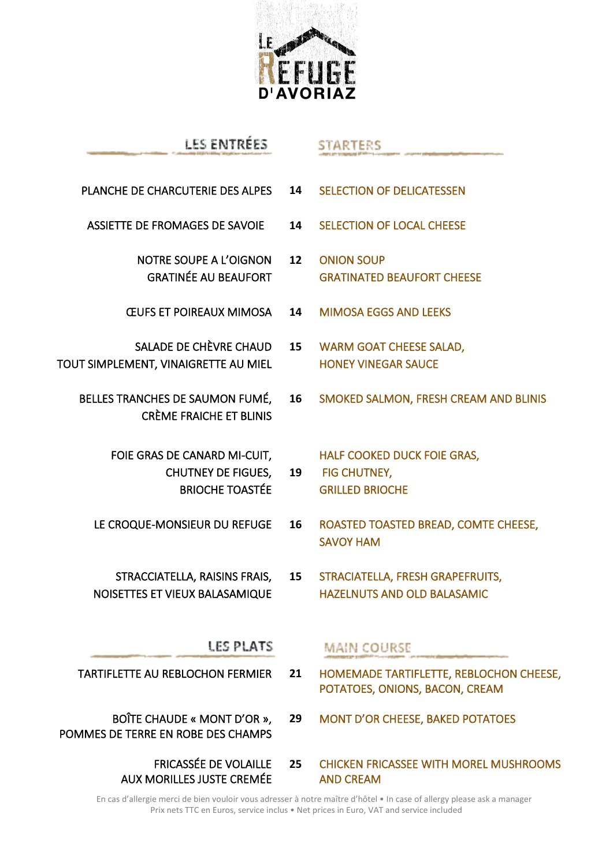

# LES ENTRÉES PLANCHE DE CHARCUTERIE DES ALPES **14** SELECTION OF DELICATESSEN ASSIETTE DE FROMAGES DE SAVOIE **14** SELECTION OF LOCAL CHEESE NOTRE SOUPE A L'OIGNON **12** ONION SOUP GRATINÉE AU BEAUFORT **GRATINATED BEAUFORT CHEESE**

ŒUFS ET POIREAUX MIMOSA **14** MIMOSA EGGS AND LEEKS

**19**

- SALADE DE CHÈVRE CHAUD TOUT SIMPLEMENT, VINAIGRETTE AU MIEL
	- BELLES TRANCHES DE SAUMON FUMÉ, CRÈME FRAICHE ET BLINIS

FOIE GRAS DE CANARD MI-CUIT, CHUTNEY DE FIGUES, BRIOCHE TOASTÉE

- 
- STRACCIATELLA, RAISINS FRAIS, NOISETTES ET VIEUX BALASAMIQUE

## LES PLATS

- TARTIFLETTE AU REBLOCHON FERMIER
- BOÎTE CHAUDE « MONT D'OR », POMMES DE TERRE EN ROBE DES CHAMPS
- **MAIN COURSE**
- **21** HOMEMADE TARTIFLETTE, REBLOCHON CHEESE, POTATOES, ONIONS, BACON, CREAM
- **29** MONT D'OR CHEESE, BAKED POTATOES
- FRICASSÉE DE VOLAILLE AUX MORILLES JUSTE CREMÉE **25** CHICKEN FRICASSEE WITH MOREL MUSHROOMS AND CREAM

En cas d'allergie merci de bien vouloir vous adresser à notre maître d'hôtel • In case of allergy please ask a manager Prix nets TTC en Euros, service inclus • Net prices in Euro, VAT and service included

## **STARTERS**

- - **15** WARM GOAT CHEESE SALAD, HONEY VINEGAR SAUCE
	- **16** SMOKED SALMON, FRESH CREAM AND BLINIS

HALF COOKED DUCK FOIE GRAS, FIG CHUTNEY, GRILLED BRIOCHE

- LE CROQUE-MONSIEUR DU REFUGE **16** ROASTED TOASTED BREAD, COMTE CHEESE, SAVOY HAM
	- **15** STRACIATELLA, FRESH GRAPEFRUITS, HAZELNUTS AND OLD BALASAMIC
		-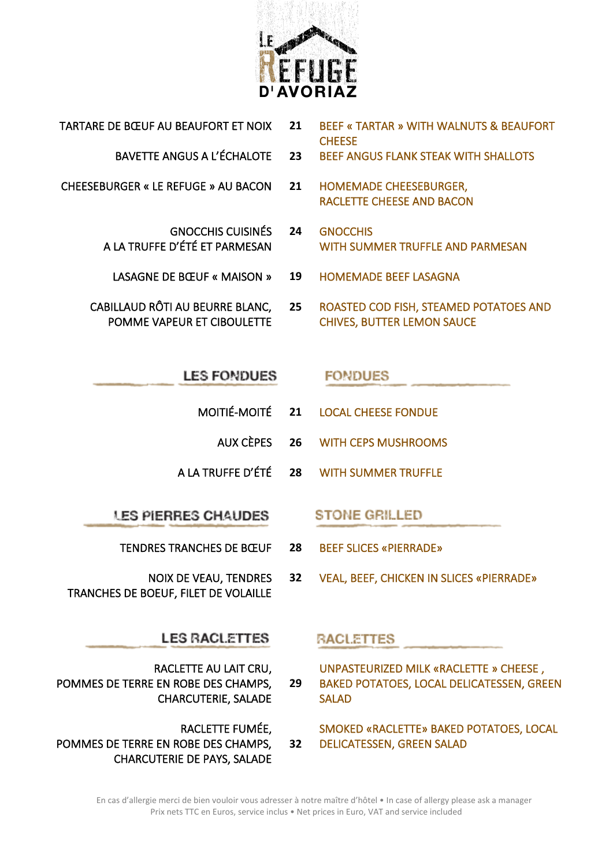

TARTARE DE BŒUF AU BEAUFORT ET NOIX **21** BEEF « TARTAR » WITH WALNUTS & BEAUFORT **CHEESE** 

BAVETTE ANGUS A L'ÉCHALOTE **23** BEEF ANGUS FLANK STEAK WITH SHALLOTS

- CHEESEBURGER « LE REFUGE » AU BACON **21** HOMEMADE CHEESEBURGER, RACLETTE CHEESE AND BACON
	- GNOCCHIS CUISINÉS A LA TRUFFE D'ÉTÉ ET PARMESAN **24** GNOCCHIS WITH SUMMER TRUFFLE AND PARMESAN
		- LASAGNE DE BŒUF « MAISON » **19** HOMEMADE BEEF LASAGNA
	- CABILLAUD RÔTI AU BEURRE BLANC, POMME VAPEUR ET CIBOULETTE
		- **25** ROASTED COD FISH, STEAMED POTATOES AND CHIVES, BUTTER LEMON SAUCE

## **LES FONDUES**

- MOITIÉ-MOITÉ **21** LOCAL CHEESE FONDUE
	- AUX CÈPES **26** WITH CEPS MUSHROOMS

**FONDUES** 

A LA TRUFFE D'ÉTÉ **28** WITH SUMMER TRUFFLE

**LES PIERRES CHAUDES** 

- TENDRES TRANCHES DE BŒUF **28** BEEF SLICES «PIERRADE»
- NOIX DE VEAU, TENDRES TRANCHES DE BOEUF, FILET DE VOLAILLE

## **LES RACLETTES**

RACLETTE AU LAIT CRU, POMMES DE TERRE EN ROBE DES CHAMPS, CHARCUTERIE, SALADE

RACLETTE FUMÉE,

 POMMES DE TERRE EN ROBE DES CHAMPS, CHARCUTERIE DE PAYS, SALADE **32**

# **STONE GRILLED**

- - **32** VEAL, BEEF, CHICKEN IN SLICES «PIERRADE»

## **RACLETTES**

**29** UNPASTEURIZED MILK «RACLETTE » CHEESE , BAKED POTATOES, LOCAL DELICATESSEN, GREEN SALAD

SMOKED «RACLETTE» BAKED POTATOES, LOCAL DELICATESSEN, GREEN SALAD